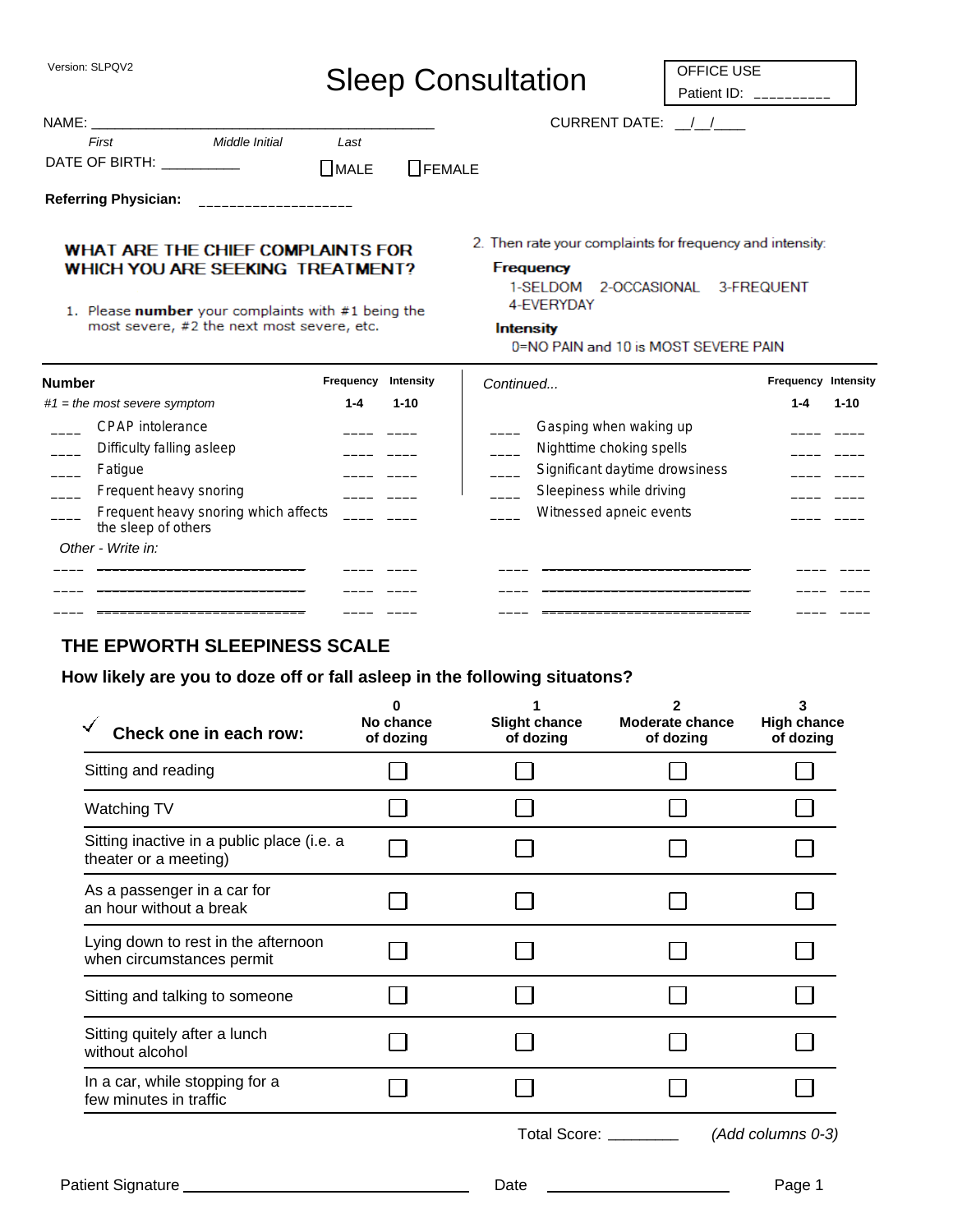Version: SLPQV2

**Referring Physician:** 

# Sleep Consultation

OFFICE USE Patient ID: \_

CURRENT DATE:  $\frac{1}{2}$ 

| NAME:          |                |             |               |  |  |
|----------------|----------------|-------------|---------------|--|--|
| First          | Middle Initial | Last        |               |  |  |
| DATE OF BIRTH: |                | $\Box$ MALE | $\Box$ FEMALE |  |  |

WHAT ARE THE CHIEF COMPLAINTS FOR WHICH YOU ARE SEEKING TREATMENT?

1. Please number your complaints with #1 being the most severe, #2 the next most severe, etc.

2. Then rate your complaints for frequency and intensity:

#### **Frequency**

1-SELDOM 2-OCCASIONAL 3-FREQUENT 4-EVERYDAY

#### **Intensity**

0=NO PAIN and 10 is MOST SEVERE PAIN

| <b>Number</b>                                                                                                                                     | Frequency | Intensity | Continued                                                                                                                                   | <b>Frequency Intensity</b> |          |
|---------------------------------------------------------------------------------------------------------------------------------------------------|-----------|-----------|---------------------------------------------------------------------------------------------------------------------------------------------|----------------------------|----------|
| $#1$ = the most severe symptom                                                                                                                    | 1-4       | $1 - 10$  |                                                                                                                                             | 1-4                        | $1 - 10$ |
| CPAP intolerance<br>Difficulty falling asleep<br>Fatique<br>Frequent heavy snoring<br>Frequent heavy snoring which affects<br>the sleep of others |           |           | Gasping when waking up<br>Nighttime choking spells<br>Significant daytime drowsiness<br>Sleepiness while driving<br>Witnessed apneic events |                            |          |
| Other - Write in:                                                                                                                                 |           |           |                                                                                                                                             |                            |          |

#### **THE EPWORTH SLEEPINESS SCALE**

#### **How likely are you to doze off or fall asleep in the following situatons?**

| Check one in each row:                                              | O<br>No chance<br>of dozing | <b>Slight chance</b><br>of dozing | 2<br><b>Moderate chance</b><br>of dozing | 3<br><b>High chance</b><br>of dozing |
|---------------------------------------------------------------------|-----------------------------|-----------------------------------|------------------------------------------|--------------------------------------|
| Sitting and reading                                                 |                             |                                   |                                          |                                      |
| Watching TV                                                         |                             |                                   |                                          |                                      |
| Sitting inactive in a public place (i.e. a<br>theater or a meeting) |                             |                                   |                                          |                                      |
| As a passenger in a car for<br>an hour without a break              |                             |                                   |                                          |                                      |
| Lying down to rest in the afternoon<br>when circumstances permit    |                             |                                   |                                          |                                      |
| Sitting and talking to someone                                      |                             |                                   |                                          |                                      |
| Sitting quitely after a lunch<br>without alcohol                    |                             |                                   |                                          |                                      |
| In a car, while stopping for a<br>few minutes in traffic            |                             |                                   |                                          |                                      |
|                                                                     |                             |                                   | Total Score: ________                    | (Add columns 0-3)                    |
| Patient Signature ____                                              |                             | Date                              |                                          | Page 1                               |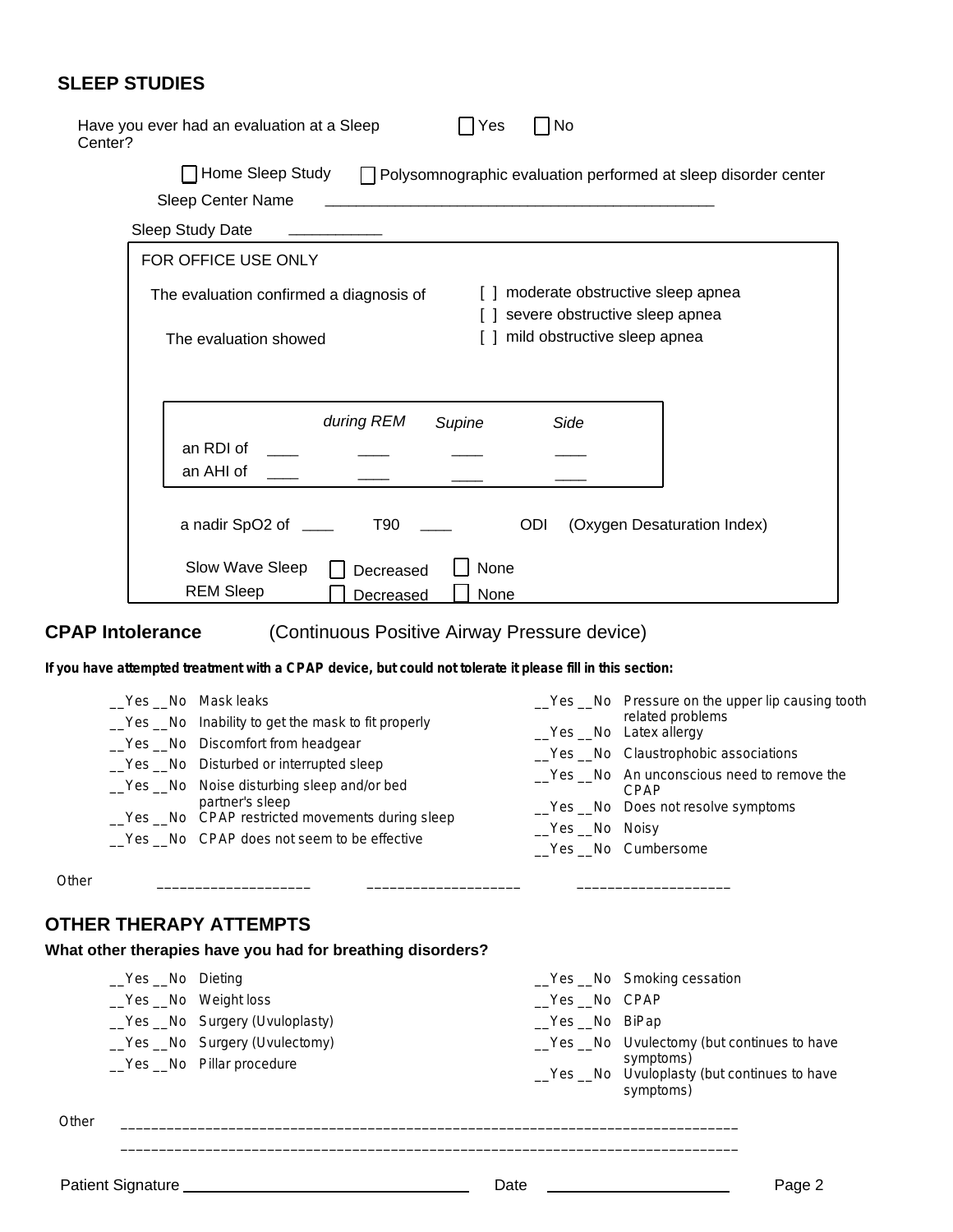## **SLEEP STUDIES**

| Have you ever had an evaluation at a Sleep<br>No<br>Yes<br>Center?                                                                        |  |
|-------------------------------------------------------------------------------------------------------------------------------------------|--|
| Home Sleep Study   Polysomnographic evaluation performed at sleep disorder center                                                         |  |
| Sleep Center Name<br><u> 1980 - Johann Stein, marwolaethau a bhann an t-Amhair an t-Amhair an t-Amhair an t-Amhair an t-Amhair an t-A</u> |  |
| Sleep Study Date                                                                                                                          |  |
| FOR OFFICE USE ONLY                                                                                                                       |  |
| moderate obstructive sleep apnea<br>The evaluation confirmed a diagnosis of<br>severe obstructive sleep apnea                             |  |
| mild obstructive sleep apnea<br>$\Box$<br>The evaluation showed                                                                           |  |
| during REM<br>Supine<br>Side                                                                                                              |  |
| an RDI of<br>an AHI of                                                                                                                    |  |
|                                                                                                                                           |  |
| a nadir SpO2 of _____<br><b>T90</b><br>ODI<br>(Oxygen Desaturation Index)                                                                 |  |
| Slow Wave Sleep<br>None<br>Decreased<br><b>REM Sleep</b><br>None<br>Decreased                                                             |  |

#### **CPAP Intolerance**

#### (Continuous Positive Airway Pressure device)

**If you have attempted treatment with a CPAP device, but could not tolerate it please fill in this section:**

**Other** 

### **OTHER THERAPY ATTEMPTS**

# **What other therapies have you had for breathing disorders?**

| <b>_Yes _No</b> Dieting |                                                            |                | _Yes _No Smoking cessation                                                                                          |
|-------------------------|------------------------------------------------------------|----------------|---------------------------------------------------------------------------------------------------------------------|
| _Yes _No Weight loss    |                                                            | _Yes _No CPAP  |                                                                                                                     |
|                         | _Yes _No Surgery (Uvuloplasty)                             | _Yes _No BiPap |                                                                                                                     |
|                         | _Yes _No Surgery (Uvulectomy)<br>_Yes _No Pillar procedure |                | _Yes _No Uvulectomy (but continues to have<br>symptoms)<br>_Yes _No Uvuloplasty (but continues to have<br>symptoms) |

\_\_\_\_\_\_\_\_\_\_\_\_\_\_\_\_\_\_\_\_\_\_\_\_\_\_\_\_\_\_\_\_\_\_\_\_\_\_\_\_\_\_\_\_\_\_\_\_\_\_\_\_\_\_\_\_\_\_\_\_\_\_\_\_\_\_\_\_\_\_\_\_\_\_\_\_\_\_\_\_ \_\_\_\_\_\_\_\_\_\_\_\_\_\_\_\_\_\_\_\_\_\_\_\_\_\_\_\_\_\_\_\_\_\_\_\_\_\_\_\_\_\_\_\_\_\_\_\_\_\_\_\_\_\_\_\_\_\_\_\_\_\_\_\_\_\_\_\_\_\_\_\_\_\_\_\_\_\_\_\_

\_\_\_\_\_\_\_\_\_\_\_\_\_\_\_\_\_\_\_\_ \_\_\_\_\_\_\_\_\_\_\_\_\_\_\_\_\_\_\_\_ \_\_\_\_\_\_\_\_\_\_\_\_\_\_\_\_\_\_\_\_

**Other**